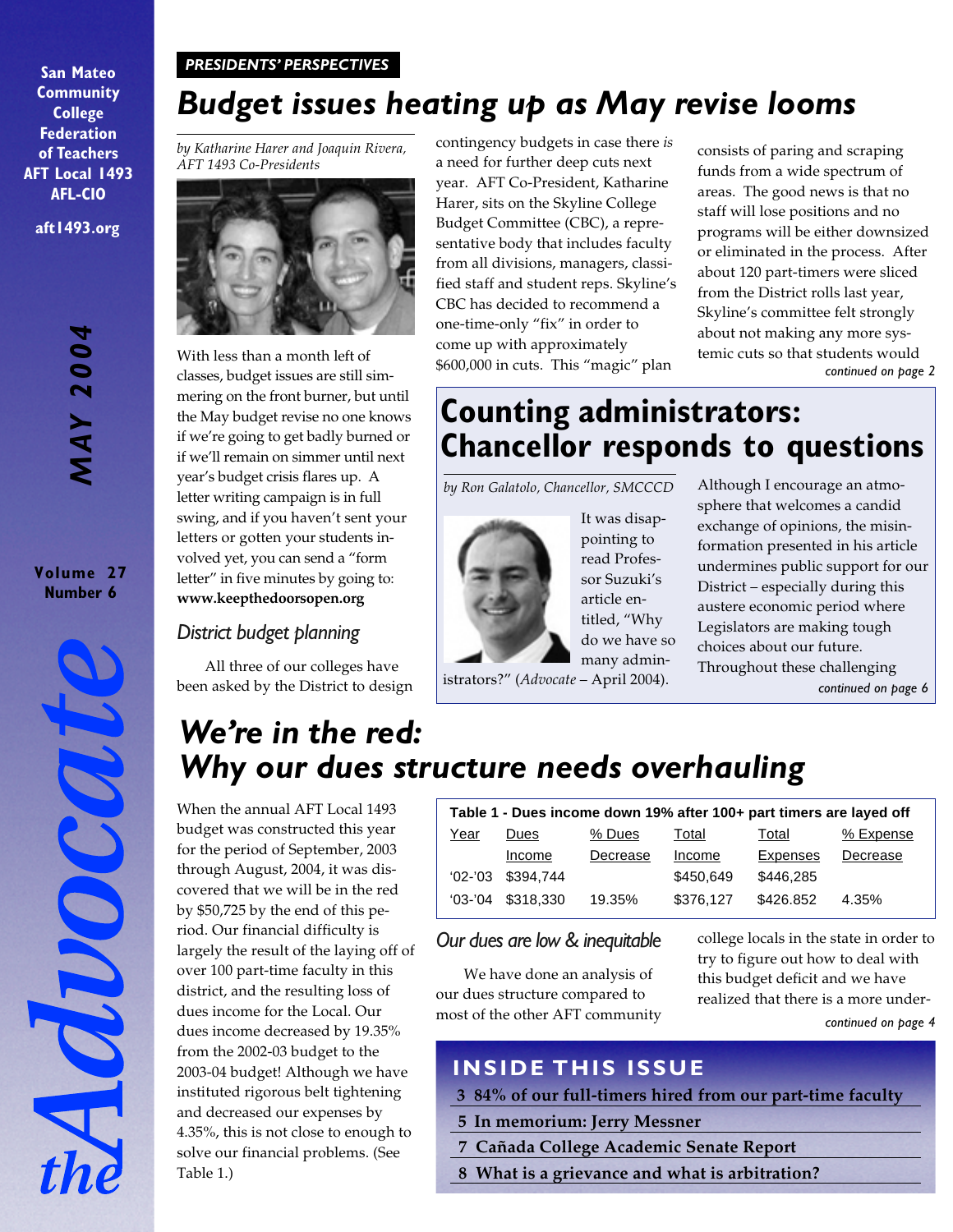## *PRESIDENTS' PERSPECTIVES*

**San Mateo Community College Federation of Teachers AFT Local 1493 AFL-CIO aft1493.org**

> **MAY 2004** *MAY 2004*

**Volume 27 Number 6**

# *Budget issues heating up as May revise looms*

*by Katharine Harer and Joaquin Rivera, AFT 1493 Co-Presidents*



With less than a month left of classes, budget issues are still simmering on the front burner, but until the May budget revise no one knows if we're going to get badly burned or if we'll remain on simmer until next year's budget crisis flares up. A letter writing campaign is in full swing, and if you haven't sent your letters or gotten your students involved yet, you can send a "form letter" in five minutes by going to: **www.keepthedoorsopen.org**

## *District budget planning*

All three of our colleges have been asked by the District to design contingency budgets in case there *is* a need for further deep cuts next year. AFT Co-President, Katharine Harer, sits on the Skyline College Budget Committee (CBC), a representative body that includes faculty from all divisions, managers, classified staff and student reps. Skyline's CBC has decided to recommend a one-time-only "fix" in order to come up with approximately \$600,000 in cuts. This "magic" plan

consists of paring and scraping funds from a wide spectrum of areas. The good news is that no staff will lose positions and no programs will be either downsized or eliminated in the process. After about 120 part-timers were sliced from the District rolls last year, Skyline's committee felt strongly about not making any more systemic cuts so that students would *continued on page 2*

# **Counting administrators: Chancellor responds to questions**

*by Ron Galatolo, Chancellor, SMCCCD*



It was disappointing to read Professor Suzuki's article entitled, "Why do we have so many admin-

*continued on page 6* formation presented in his article undermines public support for our District – especially during this austere economic period where Legislators are making tough choices about our future. Throughout these challenging

Although I encourage an atmosphere that welcomes a candid exchange of opinions, the misin-

istrators?" (*Advocate* – April 2004).

# *We're in the red: Why our dues structure needs overhauling*

When the annual AFT Local 1493 budget was constructed this year for the period of September, 2003 through August, 2004, it was discovered that we will be in the red by \$50,725 by the end of this period. Our financial difficulty is largely the result of the laying off of over 100 part-time faculty in this district, and the resulting loss of dues income for the Local. Our dues income decreased by 19.35% from the 2002-03 budget to the 2003-04 budget! Although we have instituted rigorous belt tightening and decreased our expenses by 4.35%, this is not close to enough to solve our financial problems. (See Table 1.)

| Table 1 - Dues income down 19% after 100+ part timers are layed off |           |          |           |           |           |  |
|---------------------------------------------------------------------|-----------|----------|-----------|-----------|-----------|--|
| Year                                                                | Dues      | % Dues   | Total     | Total     | % Expense |  |
|                                                                     | Income    | Decrease | Income    | Expenses  | Decrease  |  |
| $02 - 03$                                                           | \$394.744 |          | \$450.649 | \$446.285 |           |  |
| $03 - 04$                                                           | \$318,330 | 19.35%   | \$376,127 | \$426,852 | 4.35%     |  |

*Our dues are low & inequitable*

We have done an analysis of our dues structure compared to most of the other AFT community college locals in the state in order to try to figure out how to deal with this budget deficit and we have realized that there is a more under*continued on page 4*

## **INSIDE THIS ISSUE**

- **3 84% of our full-timers hired from our part-time faculty**
- **5 In memorium: Jerry Messner**
- **7 Cañada College Academic Senate Report**
- **8 What is a grievance and what is arbitration?**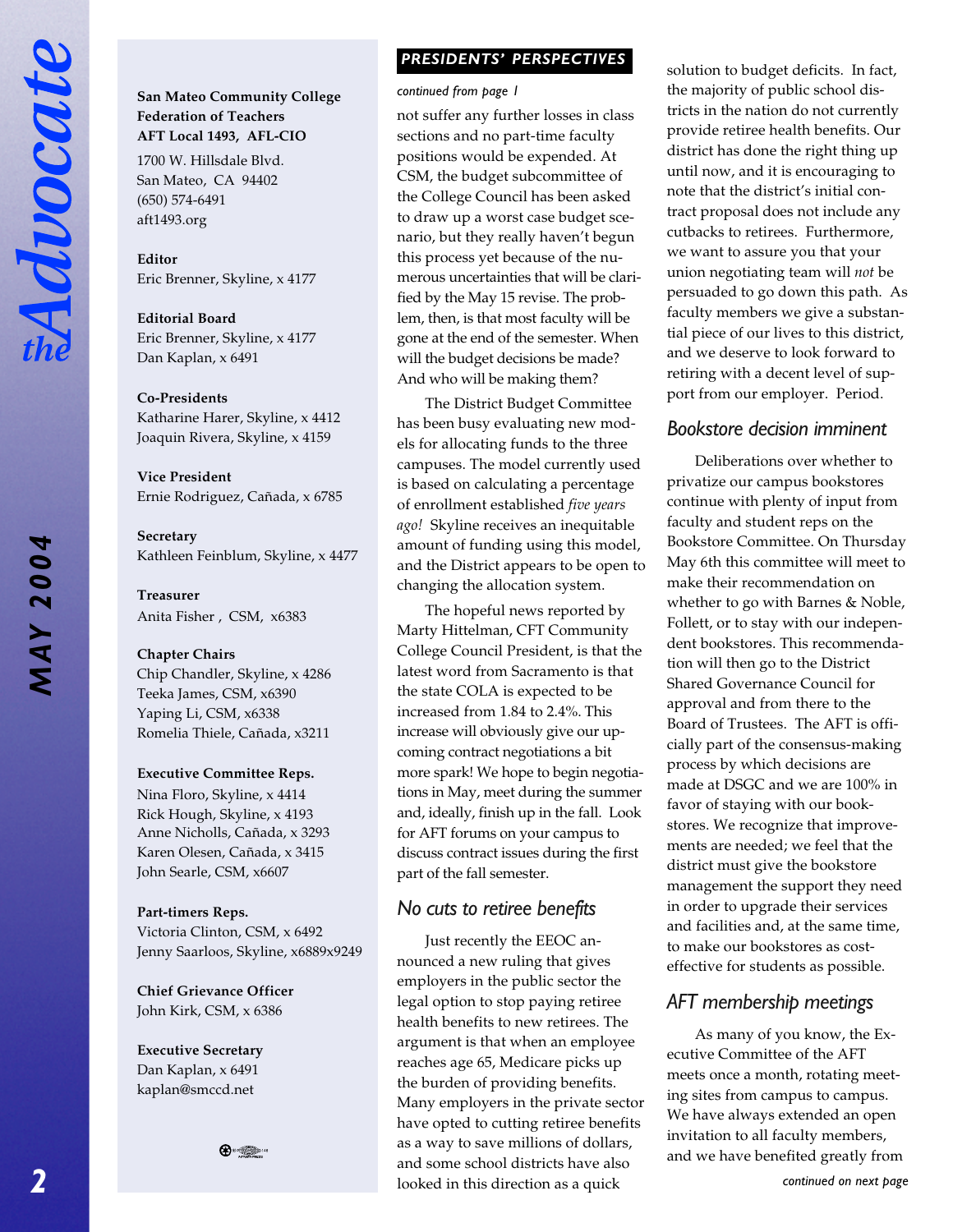# *MAY 2004* **MAY 2004**

## **San Mateo Community College Federation of Teachers AFT Local 1493, AFL-CIO**

1700 W. Hillsdale Blvd. San Mateo, CA 94402 (650) 574-6491 aft1493.org

**Editor** Eric Brenner, Skyline, x 4177

**Editorial Board** Eric Brenner, Skyline, x 4177 Dan Kaplan, x 6491

#### **Co-Presidents**

Katharine Harer, Skyline, x 4412 Joaquin Rivera, Skyline, x 4159

**Vice President** Ernie Rodriguez, Cañada, x 6785

**Secretary** Kathleen Feinblum, Skyline, x 4477

**Treasurer** Anita Fisher , CSM, x6383

#### **Chapter Chairs**

Chip Chandler, Skyline, x 4286 Teeka James, CSM, x6390 Yaping Li, CSM, x6338 Romelia Thiele, Cañada, x3211

#### **Executive Committee Reps.**

Nina Floro, Skyline, x 4414 Rick Hough, Skyline, x 4193 Anne Nicholls, Cañada, x 3293 Karen Olesen, Cañada, x 3415 John Searle, CSM, x6607

#### **Part-timers Reps.**

Victoria Clinton, CSM, x 6492 Jenny Saarloos, Skyline, x6889x9249

**Chief Grievance Officer** John Kirk, CSM, x 6386

**Executive Secretary** Dan Kaplan, x 6491 kaplan@smccd.net

 $\bigoplus$   $\circ$   $\bullet$ 

## *PRESIDENTS' PERSPECTIVES PRESIDENTS' PERSPECTIVES*

#### *continued from page 1*

not suffer any further losses in class sections and no part-time faculty positions would be expended. At CSM, the budget subcommittee of the College Council has been asked to draw up a worst case budget scenario, but they really haven't begun this process yet because of the numerous uncertainties that will be clarified by the May 15 revise. The problem, then, is that most faculty will be gone at the end of the semester. When will the budget decisions be made? And who will be making them?

The District Budget Committee has been busy evaluating new models for allocating funds to the three campuses. The model currently used is based on calculating a percentage of enrollment established *five years ago!* Skyline receives an inequitable amount of funding using this model, and the District appears to be open to changing the allocation system.

The hopeful news reported by Marty Hittelman, CFT Community College Council President, is that the latest word from Sacramento is that the state COLA is expected to be increased from 1.84 to 2.4%. This increase will obviously give our upcoming contract negotiations a bit more spark! We hope to begin negotiations in May, meet during the summer and, ideally, finish up in the fall. Look for AFT forums on your campus to discuss contract issues during the first part of the fall semester.

## *No cuts to retiree benefits*

Just recently the EEOC announced a new ruling that gives employers in the public sector the legal option to stop paying retiree health benefits to new retirees. The argument is that when an employee reaches age 65, Medicare picks up the burden of providing benefits. Many employers in the private sector have opted to cutting retiree benefits as a way to save millions of dollars, and some school districts have also looked in this direction as a quick

solution to budget deficits. In fact, the majority of public school districts in the nation do not currently provide retiree health benefits. Our district has done the right thing up until now, and it is encouraging to note that the district's initial contract proposal does not include any cutbacks to retirees. Furthermore, we want to assure you that your union negotiating team will *not* be persuaded to go down this path. As faculty members we give a substantial piece of our lives to this district, and we deserve to look forward to retiring with a decent level of support from our employer. Period.

## *Bookstore decision imminent*

Deliberations over whether to privatize our campus bookstores continue with plenty of input from faculty and student reps on the Bookstore Committee. On Thursday May 6th this committee will meet to make their recommendation on whether to go with Barnes & Noble, Follett, or to stay with our independent bookstores. This recommendation will then go to the District Shared Governance Council for approval and from there to the Board of Trustees. The AFT is officially part of the consensus-making process by which decisions are made at DSGC and we are 100% in favor of staying with our bookstores. We recognize that improvements are needed; we feel that the district must give the bookstore management the support they need in order to upgrade their services and facilities and, at the same time, to make our bookstores as costeffective for students as possible.

## *AFT membership meetings*

As many of you know, the Executive Committee of the AFT meets once a month, rotating meeting sites from campus to campus. We have always extended an open invitation to all faculty members, and we have benefited greatly from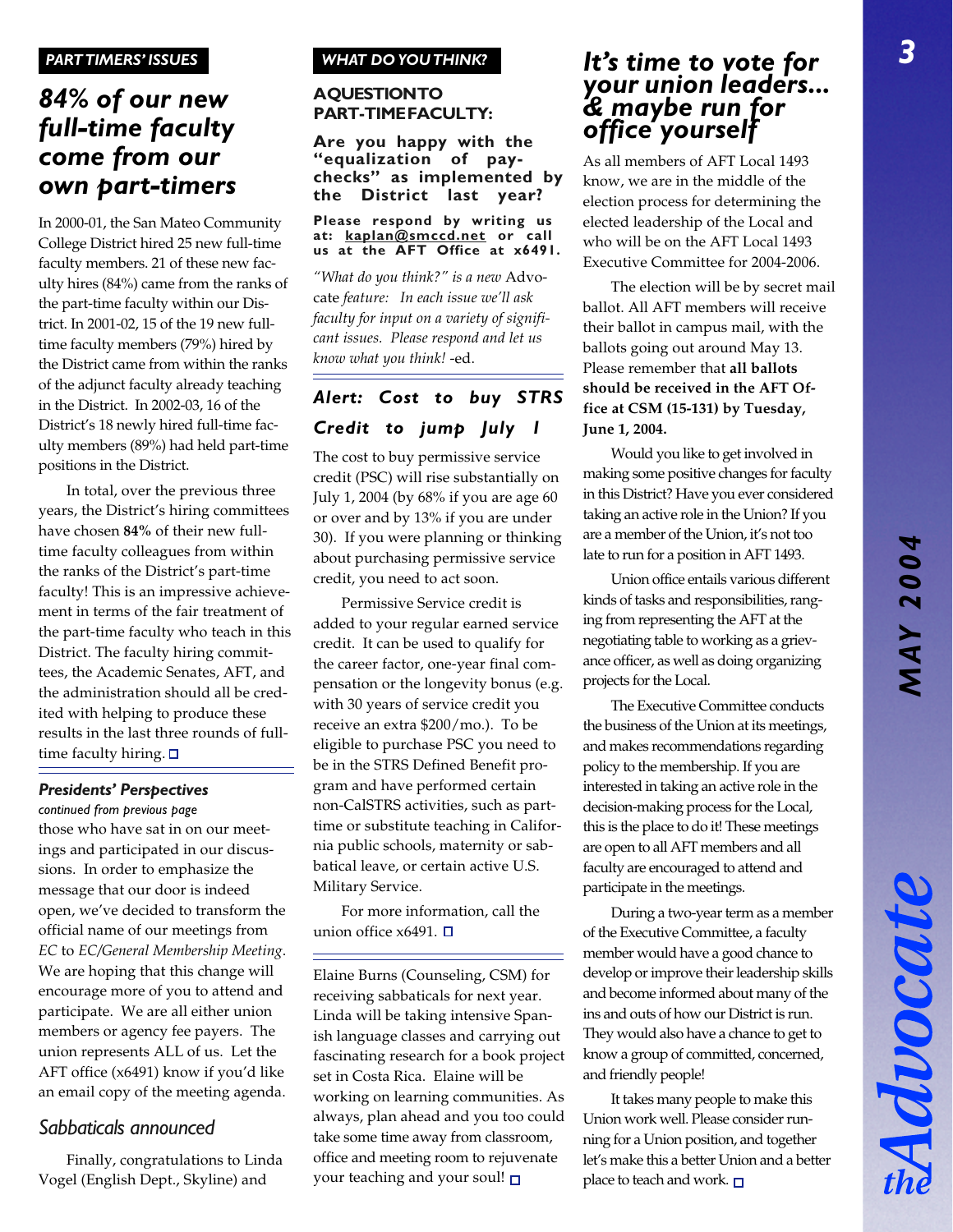## **84% of our new AQUESTIONTO**<br>**PART-TIMEFACULTY:** *full-time faculty come from our own part-timers*

In 2000-01, the San Mateo Community College District hired 25 new full-time faculty members. 21 of these new faculty hires (84%) came from the ranks of the part-time faculty within our District. In 2001-02, 15 of the 19 new fulltime faculty members (79%) hired by the District came from within the ranks of the adjunct faculty already teaching in the District. In 2002-03, 16 of the District's 18 newly hired full-time faculty members (89%) had held part-time positions in the District.

In total, over the previous three years, the District's hiring committees have chosen **84%** of their new fulltime faculty colleagues from within the ranks of the District's part-time faculty! This is an impressive achievement in terms of the fair treatment of the part-time faculty who teach in this District. The faculty hiring committees, the Academic Senates, AFT, and the administration should all be credited with helping to produce these results in the last three rounds of fulltime faculty hiring.  $\square$ 

## *Presidents' Perspectives*

*continued from previous page* those who have sat in on our meetings and participated in our discussions. In order to emphasize the message that our door is indeed open, we've decided to transform the official name of our meetings from *EC* to *EC/General Membership Meeting*. We are hoping that this change will encourage more of you to attend and participate. We are all either union members or agency fee payers. The union represents ALL of us. Let the AFT office (x6491) know if you'd like an email copy of the meeting agenda.

## *Sabbaticals announced*

Finally, congratulations to Linda Vogel (English Dept., Skyline) and

## *WHAT DO YOU THINK?*

# **A QUESTION TO**

**Are you happy with the "equalization of paychecks" as implemented by the District last year?**

#### **Please respond by writing us at: kaplan@smccd.net or call us at the AFT Office at x6491.**

*"What do you think?" is a new* Advocate *feature: In each issue we'll ask faculty for input on a variety of significant issues. Please respond and let us know what you think!* -ed.

## *Alert: Cost to buy STRS Credit to jump July 1*

The cost to buy permissive service credit (PSC) will rise substantially on July 1, 2004 (by 68% if you are age 60 or over and by 13% if you are under 30). If you were planning or thinking about purchasing permissive service credit, you need to act soon.

Permissive Service credit is added to your regular earned service credit. It can be used to qualify for the career factor, one-year final compensation or the longevity bonus (e.g. with 30 years of service credit you receive an extra \$200/mo.). To be eligible to purchase PSC you need to be in the STRS Defined Benefit program and have performed certain non-CalSTRS activities, such as parttime or substitute teaching in California public schools, maternity or sabbatical leave, or certain active U.S. Military Service.

For more information, call the union office  $x6491.$   $\Box$ 

Elaine Burns (Counseling, CSM) for receiving sabbaticals for next year. Linda will be taking intensive Spanish language classes and carrying out fascinating research for a book project set in Costa Rica. Elaine will be working on learning communities. As always, plan ahead and you too could take some time away from classroom, office and meeting room to rejuvenate your teaching and your soul!  $\square$ 

## *It's time to vote for your union leaders... & maybe run for office yourself*

As all members of AFT Local 1493 know, we are in the middle of the election process for determining the elected leadership of the Local and who will be on the AFT Local 1493 Executive Committee for 2004-2006.

The election will be by secret mail ballot. All AFT members will receive their ballot in campus mail, with the ballots going out around May 13. Please remember that **all ballots should be received in the AFT Office at CSM (15-131) by Tuesday, June 1, 2004.**

Would you like to get involved in making some positive changes for faculty in this District? Have you ever considered taking an active role in the Union? If you are a member of the Union, it's not too late to run for a position in AFT 1493.

Union office entails various different kinds of tasks and responsibilities, ranging from representing the AFT at the negotiating table to working as a grievance officer, as well as doing organizing projects for the Local.

The Executive Committee conducts the business of the Union at its meetings, and makes recommendations regarding policy to the membership. If you are interested in taking an active role in the decision-making process for the Local, this is the place to do it! These meetings are open to all AFT members and all faculty are encouraged to attend and participate in the meetings.

During a two-year term as a member of the Executive Committee, a faculty member would have a good chance to develop or improve their leadership skills and become informed about many of the ins and outs of how our District is run. They would also have a chance to get to know a group of committed, concerned, and friendly people!

It takes many people to make this Union work well. Please consider running for a Union position, and together let's make this a better Union and a better place to teach and work.  $\square$ 

Advocat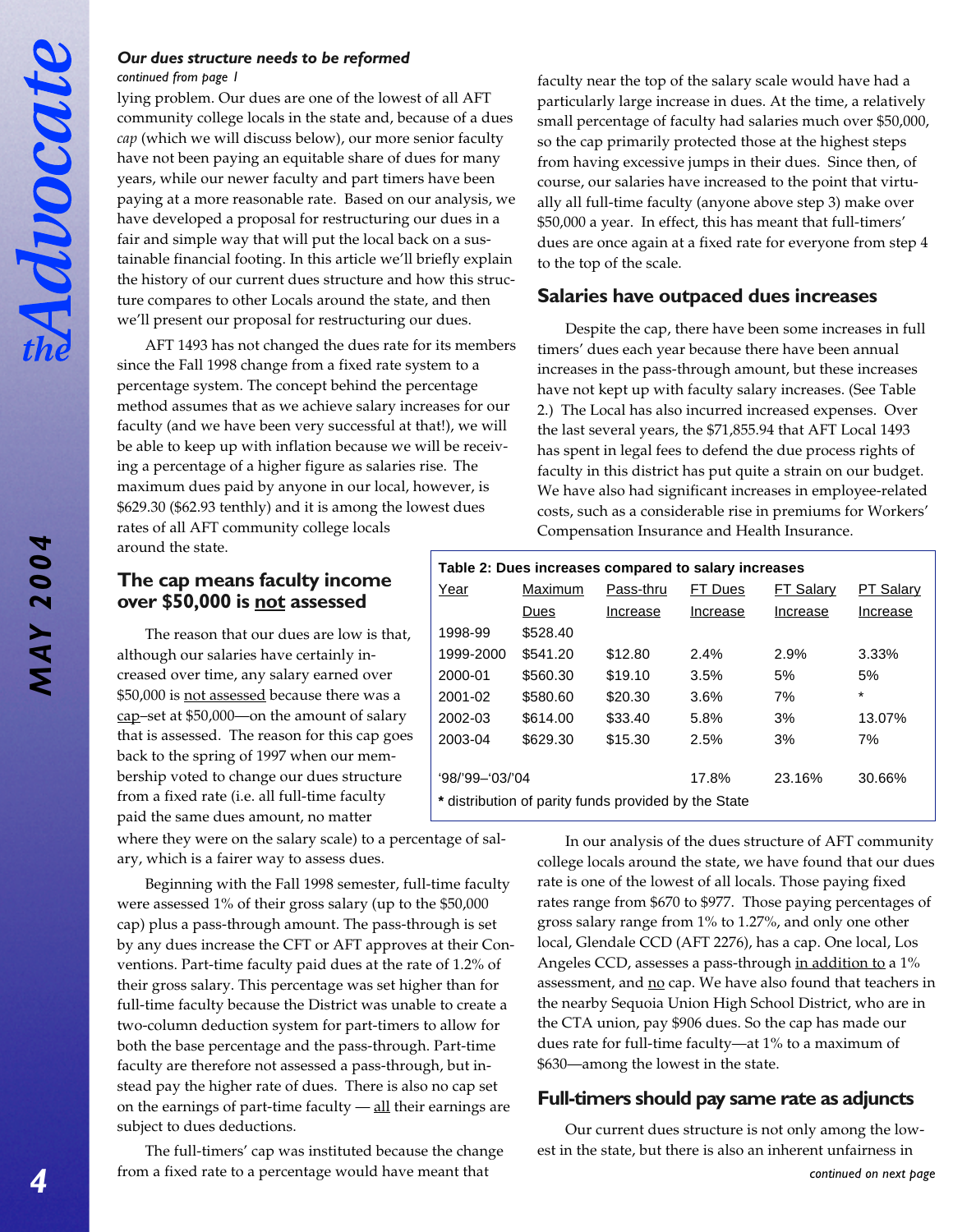*MAY 2004*

**MAY 2004** 

## *Our dues structure needs to be reformed continued from page 1*

lying problem. Our dues are one of the lowest of all AFT community college locals in the state and, because of a dues *cap* (which we will discuss below), our more senior faculty have not been paying an equitable share of dues for many years, while our newer faculty and part timers have been paying at a more reasonable rate. Based on our analysis, we have developed a proposal for restructuring our dues in a fair and simple way that will put the local back on a sustainable financial footing. In this article we'll briefly explain the history of our current dues structure and how this structure compares to other Locals around the state, and then we'll present our proposal for restructuring our dues.

AFT 1493 has not changed the dues rate for its members since the Fall 1998 change from a fixed rate system to a percentage system. The concept behind the percentage method assumes that as we achieve salary increases for our faculty (and we have been very successful at that!), we will be able to keep up with inflation because we will be receiving a percentage of a higher figure as salaries rise. The maximum dues paid by anyone in our local, however, is \$629.30 (\$62.93 tenthly) and it is among the lowest dues rates of all AFT community college locals around the state.

## faculty near the top of the salary scale would have had a particularly large increase in dues. At the time, a relatively small percentage of faculty had salaries much over \$50,000, so the cap primarily protected those at the highest steps from having excessive jumps in their dues. Since then, of course, our salaries have increased to the point that virtually all full-time faculty (anyone above step 3) make over \$50,000 a year. In effect, this has meant that full-timers' dues are once again at a fixed rate for everyone from step 4 to the top of the scale.

## **Salaries have outpaced dues increases**

Despite the cap, there have been some increases in full timers' dues each year because there have been annual increases in the pass-through amount, but these increases have not kept up with faculty salary increases. (See Table 2.) The Local has also incurred increased expenses. Over the last several years, the \$71,855.94 that AFT Local 1493 has spent in legal fees to defend the due process rights of faculty in this district has put quite a strain on our budget. We have also had significant increases in employee-related costs, such as a considerable rise in premiums for Workers' Compensation Insurance and Health Insurance.

## **The cap means faculty income over \$50,000 is not assessed**

The reason that our dues are low is that, although our salaries have certainly increased over time, any salary earned over \$50,000 is not assessed because there was a cap–set at \$50,000—on the amount of salary that is assessed. The reason for this cap goes back to the spring of 1997 when our membership voted to change our dues structure from a fixed rate (i.e. all full-time faculty paid the same dues amount, no matter

where they were on the salary scale) to a percentage of salary, which is a fairer way to assess dues.

Beginning with the Fall 1998 semester, full-time faculty were assessed 1% of their gross salary (up to the \$50,000 cap) plus a pass-through amount. The pass-through is set by any dues increase the CFT or AFT approves at their Conventions. Part-time faculty paid dues at the rate of 1.2% of their gross salary. This percentage was set higher than for full-time faculty because the District was unable to create a two-column deduction system for part-timers to allow for both the base percentage and the pass-through. Part-time faculty are therefore not assessed a pass-through, but instead pay the higher rate of dues. There is also no cap set on the earnings of part-time faculty  $-\underline{\text{all}}$  their earnings are subject to dues deductions.

The full-timers' cap was instituted because the change from a fixed rate to a percentage would have meant that *continued on next page*

## **Table 2: Dues increases compared to salary increases**

| Year                                                 | Maximum  |          | FT Dues<br>Pass-thru |          | PT Salary |  |
|------------------------------------------------------|----------|----------|----------------------|----------|-----------|--|
|                                                      | Dues     | Increase | Increase             | Increase | Increase  |  |
| 1998-99                                              | \$528.40 |          |                      |          |           |  |
| 1999-2000                                            | \$541.20 | \$12.80  | 2.4%                 | 2.9%     | 3.33%     |  |
| 2000-01                                              | \$560.30 | \$19.10  | 3.5%                 | 5%       | 5%        |  |
| 2001-02                                              | \$580.60 | \$20.30  | 3.6%                 | 7%       | $\star$   |  |
| 2002-03                                              | \$614.00 | \$33.40  | 5.8%                 | 3%       | 13.07%    |  |
| 2003-04                                              | \$629.30 | \$15.30  | 2.5%                 | 3%       | 7%        |  |
|                                                      |          |          |                      |          |           |  |
| $98/99 - 03/04$                                      |          |          | 17.8%                | 23.16%   | 30.66%    |  |
| * distribution of parity funds provided by the State |          |          |                      |          |           |  |

In our analysis of the dues structure of AFT community college locals around the state, we have found that our dues rate is one of the lowest of all locals. Those paying fixed rates range from \$670 to \$977. Those paying percentages of gross salary range from 1% to 1.27%, and only one other local, Glendale CCD (AFT 2276), has a cap. One local, Los Angeles CCD, assesses a pass-through in addition to a 1% assessment, and no cap. We have also found that teachers in the nearby Sequoia Union High School District, who are in the CTA union, pay \$906 dues. So the cap has made our dues rate for full-time faculty—at 1% to a maximum of \$630—among the lowest in the state.

## **Full-timers should pay same rate as adjuncts**

Our current dues structure is not only among the lowest in the state, but there is also an inherent unfairness in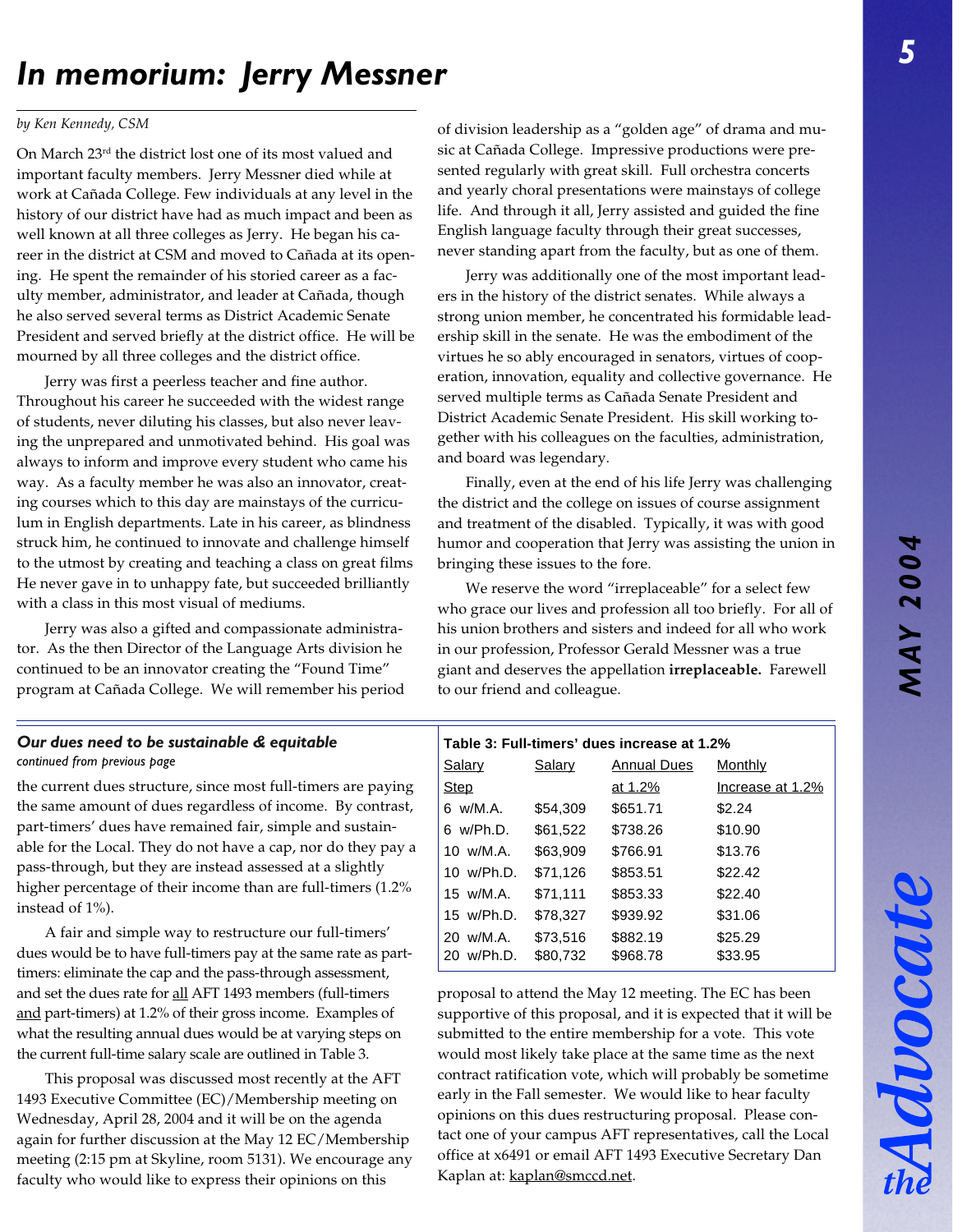# *In memorium: Jerry Messner*

## *by Ken Kennedy, CSM*

On March 23rd the district lost one of its most valued and important faculty members. Jerry Messner died while at work at Cañada College. Few individuals at any level in the history of our district have had as much impact and been as well known at all three colleges as Jerry. He began his career in the district at CSM and moved to Cañada at its opening. He spent the remainder of his storied career as a faculty member, administrator, and leader at Cañada, though he also served several terms as District Academic Senate President and served briefly at the district office. He will be mourned by all three colleges and the district office.

Jerry was first a peerless teacher and fine author. Throughout his career he succeeded with the widest range of students, never diluting his classes, but also never leaving the unprepared and unmotivated behind. His goal was always to inform and improve every student who came his way. As a faculty member he was also an innovator, creating courses which to this day are mainstays of the curriculum in English departments. Late in his career, as blindness struck him, he continued to innovate and challenge himself to the utmost by creating and teaching a class on great films He never gave in to unhappy fate, but succeeded brilliantly with a class in this most visual of mediums.

Jerry was also a gifted and compassionate administrator. As the then Director of the Language Arts division he continued to be an innovator creating the "Found Time" program at Cañada College. We will remember his period

## *continued from previous page* **Our dues need to be sustainable & equitable**

the current dues structure, since most full-timers are paying the same amount of dues regardless of income. By contrast, part-timers' dues have remained fair, simple and sustainable for the Local. They do not have a cap, nor do they pay a pass-through, but they are instead assessed at a slightly higher percentage of their income than are full-timers (1.2% instead of 1%).

A fair and simple way to restructure our full-timers' dues would be to have full-timers pay at the same rate as parttimers: eliminate the cap and the pass-through assessment, and set the dues rate for all AFT 1493 members (full-timers and part-timers) at 1.2% of their gross income. Examples of what the resulting annual dues would be at varying steps on the current full-time salary scale are outlined in Table 3.

This proposal was discussed most recently at the AFT 1493 Executive Committee (EC)/Membership meeting on Wednesday, April 28, 2004 and it will be on the agenda again for further discussion at the May 12 EC/Membership meeting (2:15 pm at Skyline, room 5131). We encourage any faculty who would like to express their opinions on this

of division leadership as a "golden age" of drama and music at Cañada College. Impressive productions were presented regularly with great skill. Full orchestra concerts and yearly choral presentations were mainstays of college life. And through it all, Jerry assisted and guided the fine English language faculty through their great successes, never standing apart from the faculty, but as one of them.

Jerry was additionally one of the most important leaders in the history of the district senates. While always a strong union member, he concentrated his formidable leadership skill in the senate. He was the embodiment of the virtues he so ably encouraged in senators, virtues of cooperation, innovation, equality and collective governance. He served multiple terms as Cañada Senate President and District Academic Senate President. His skill working together with his colleagues on the faculties, administration, and board was legendary.

Finally, even at the end of his life Jerry was challenging the district and the college on issues of course assignment and treatment of the disabled. Typically, it was with good humor and cooperation that Jerry was assisting the union in bringing these issues to the fore.

We reserve the word "irreplaceable" for a select few who grace our lives and profession all too briefly. For all of his union brothers and sisters and indeed for all who work in our profession, Professor Gerald Messner was a true giant and deserves the appellation **irreplaceable.** Farewell to our friend and colleague.

|                     | Table 3: Full-timers' dues increase at 1.2% |                    |                  |  |  |  |  |
|---------------------|---------------------------------------------|--------------------|------------------|--|--|--|--|
| <b>Salary</b>       | <b>Salary</b>                               | <b>Annual Dues</b> | Monthly          |  |  |  |  |
| Step                |                                             | at 1.2%            | Increase at 1.2% |  |  |  |  |
| 6 w/M.A.            | \$54,309                                    | \$651.71           | \$2.24           |  |  |  |  |
| 6 w/Ph.D.           | \$61,522                                    | \$738.26           | \$10.90          |  |  |  |  |
| 10 w/M.A.           | \$63,909                                    | \$766.91           | \$13.76          |  |  |  |  |
| 10 w/Ph.D.          | \$71,126                                    | \$853.51           | \$22.42          |  |  |  |  |
| $15 \text{ w/M.A.}$ | \$71,111                                    | \$853.33           | \$22.40          |  |  |  |  |
| 15 w/Ph.D.          | \$78.327                                    | \$939.92           | \$31.06          |  |  |  |  |
| 20 w/M.A.           | \$73,516                                    | \$882.19           | \$25.29          |  |  |  |  |
| w/Ph.D.<br>20.      | \$80,732                                    | \$968.78           | \$33.95          |  |  |  |  |

proposal to attend the May 12 meeting. The EC has been supportive of this proposal, and it is expected that it will be submitted to the entire membership for a vote. This vote would most likely take place at the same time as the next contract ratification vote, which will probably be sometime early in the Fall semester. We would like to hear faculty opinions on this dues restructuring proposal. Please contact one of your campus AFT representatives, call the Local office at x6491 or email AFT 1493 Executive Secretary Dan Kaplan at: kaplan@smccd.net.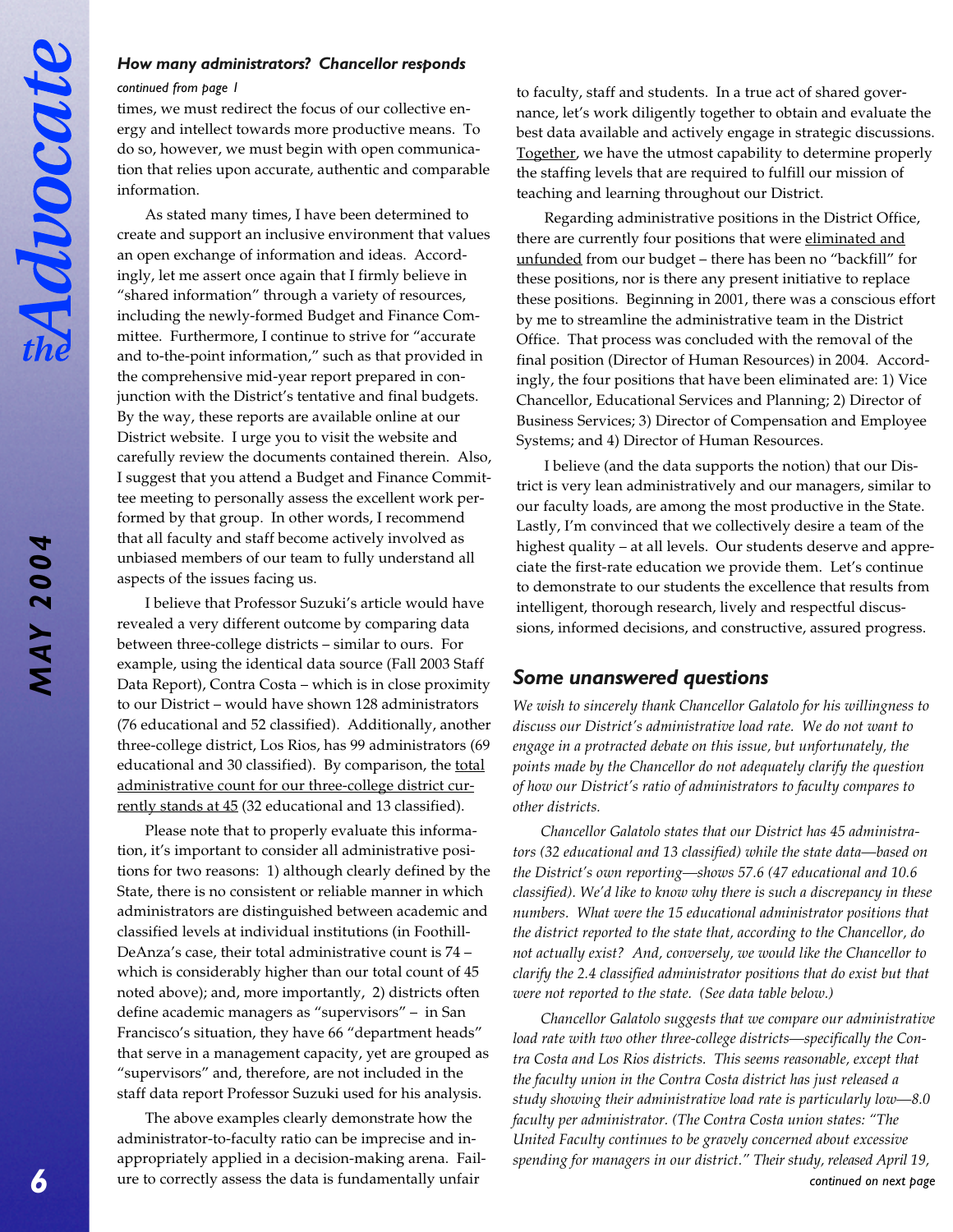## *How many administrators? Chancellor responds*

#### *continued from page 1*

times, we must redirect the focus of our collective energy and intellect towards more productive means. To do so, however, we must begin with open communication that relies upon accurate, authentic and comparable information.

As stated many times, I have been determined to create and support an inclusive environment that values an open exchange of information and ideas. Accordingly, let me assert once again that I firmly believe in "shared information" through a variety of resources, including the newly-formed Budget and Finance Committee. Furthermore, I continue to strive for "accurate and to-the-point information," such as that provided in the comprehensive mid-year report prepared in conjunction with the District's tentative and final budgets. By the way, these reports are available online at our District website. I urge you to visit the website and carefully review the documents contained therein. Also, I suggest that you attend a Budget and Finance Committee meeting to personally assess the excellent work performed by that group. In other words, I recommend that all faculty and staff become actively involved as unbiased members of our team to fully understand all aspects of the issues facing us.

I believe that Professor Suzuki's article would have revealed a very different outcome by comparing data between three-college districts – similar to ours. For example, using the identical data source (Fall 2003 Staff Data Report), Contra Costa – which is in close proximity to our District – would have shown 128 administrators (76 educational and 52 classified). Additionally, another three-college district, Los Rios, has 99 administrators (69 educational and 30 classified). By comparison, the total administrative count for our three-college district currently stands at 45 (32 educational and 13 classified).

Please note that to properly evaluate this information, it's important to consider all administrative positions for two reasons: 1) although clearly defined by the State, there is no consistent or reliable manner in which administrators are distinguished between academic and classified levels at individual institutions (in Foothill-DeAnza's case, their total administrative count is 74 – which is considerably higher than our total count of 45 noted above); and, more importantly, 2) districts often define academic managers as "supervisors" – in San Francisco's situation, they have 66 "department heads" that serve in a management capacity, yet are grouped as "supervisors" and, therefore, are not included in the staff data report Professor Suzuki used for his analysis.

The above examples clearly demonstrate how the administrator-to-faculty ratio can be imprecise and inappropriately applied in a decision-making arena. Failure to correctly assess the data is fundamentally unfair

to faculty, staff and students. In a true act of shared governance, let's work diligently together to obtain and evaluate the best data available and actively engage in strategic discussions. Together, we have the utmost capability to determine properly the staffing levels that are required to fulfill our mission of teaching and learning throughout our District.

Regarding administrative positions in the District Office, there are currently four positions that were eliminated and unfunded from our budget – there has been no "backfill" for these positions, nor is there any present initiative to replace these positions. Beginning in 2001, there was a conscious effort by me to streamline the administrative team in the District Office. That process was concluded with the removal of the final position (Director of Human Resources) in 2004. Accordingly, the four positions that have been eliminated are: 1) Vice Chancellor, Educational Services and Planning; 2) Director of Business Services; 3) Director of Compensation and Employee Systems; and 4) Director of Human Resources.

I believe (and the data supports the notion) that our District is very lean administratively and our managers, similar to our faculty loads, are among the most productive in the State. Lastly, I'm convinced that we collectively desire a team of the highest quality – at all levels. Our students deserve and appreciate the first-rate education we provide them. Let's continue to demonstrate to our students the excellence that results from intelligent, thorough research, lively and respectful discussions, informed decisions, and constructive, assured progress.

## *Some unanswered questions*

*We wish to sincerely thank Chancellor Galatolo for his willingness to discuss our District's administrative load rate. We do not want to engage in a protracted debate on this issue, but unfortunately, the points made by the Chancellor do not adequately clarify the question of how our District's ratio of administrators to faculty compares to other districts.*

*Chancellor Galatolo states that our District has 45 administrators (32 educational and 13 classified) while the state data—based on the District's own reporting—shows 57.6 (47 educational and 10.6 classified). We'd like to know why there is such a discrepancy in these numbers. What were the 15 educational administrator positions that the district reported to the state that, according to the Chancellor, do not actually exist? And, conversely, we would like the Chancellor to clarify the 2.4 classified administrator positions that do exist but that were not reported to the state. (See data table below.)*

*Chancellor Galatolo suggests that we compare our administrative load rate with two other three-college districts—specifically the Contra Costa and Los Rios districts. This seems reasonable, except that the faculty union in the Contra Costa district has just released a study showing their administrative load rate is particularly low—8.0 faculty per administrator. (The Contra Costa union states: "The United Faculty continues to be gravely concerned about excessive spending for managers in our district." Their study, released April 19, continued on next page*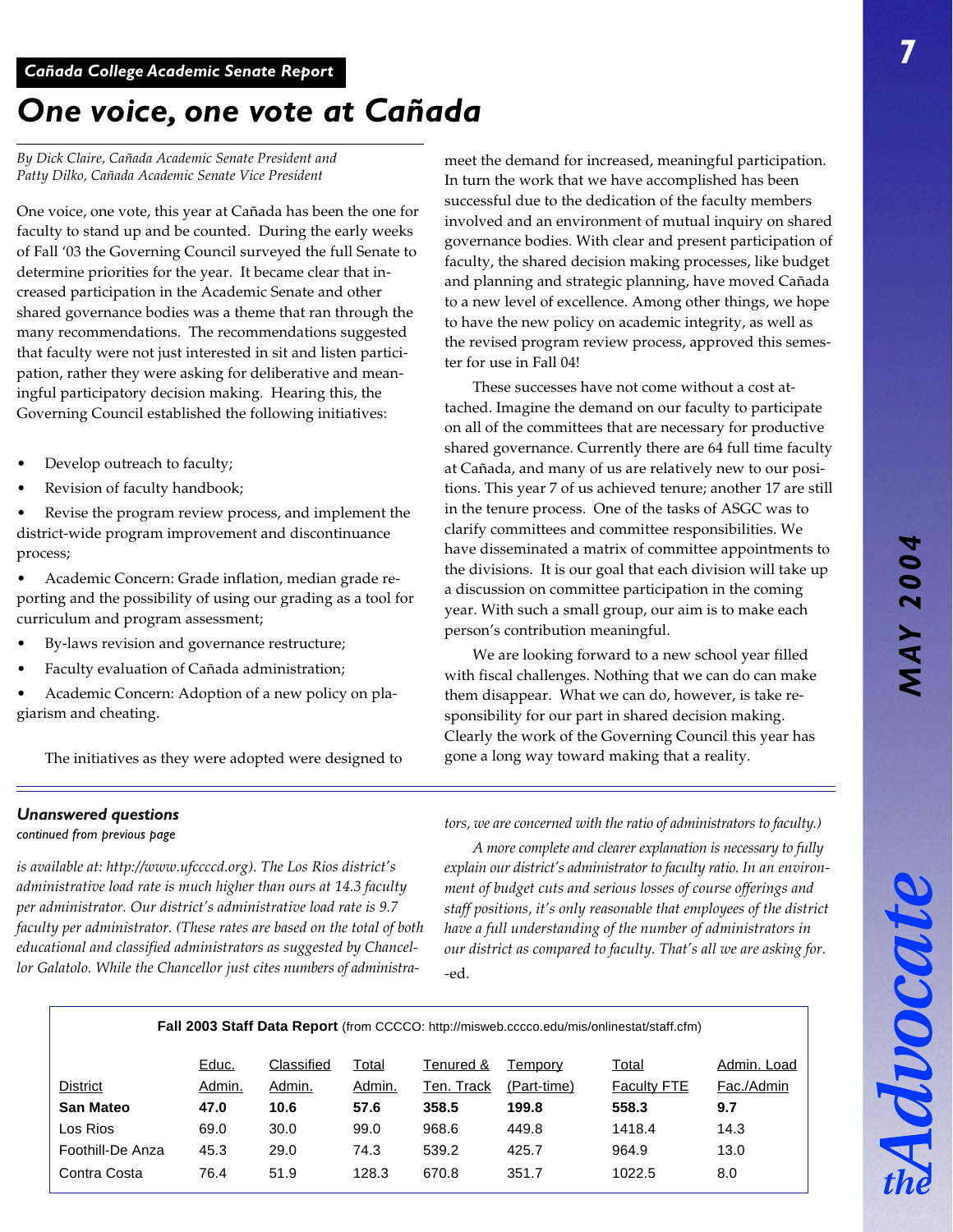Advocat

## *One voice, one vote at Cañada*

*By Dick Claire, Cañada Academic Senate President and Patty Dilko, Cañada Academic Senate Vice President*

One voice, one vote, this year at Cañada has been the one for faculty to stand up and be counted. During the early weeks of Fall '03 the Governing Council surveyed the full Senate to determine priorities for the year. It became clear that increased participation in the Academic Senate and other shared governance bodies was a theme that ran through the many recommendations. The recommendations suggested that faculty were not just interested in sit and listen participation, rather they were asking for deliberative and meaningful participatory decision making. Hearing this, the Governing Council established the following initiatives:

- Develop outreach to faculty;
- Revision of faculty handbook;

Revise the program review process, and implement the district-wide program improvement and discontinuance process;

• Academic Concern: Grade inflation, median grade reporting and the possibility of using our grading as a tool for curriculum and program assessment;

- By-laws revision and governance restructure;
- Faculty evaluation of Cañada administration;
- Academic Concern: Adoption of a new policy on plagiarism and cheating.

The initiatives as they were adopted were designed to

meet the demand for increased, meaningful participation. In turn the work that we have accomplished has been successful due to the dedication of the faculty members involved and an environment of mutual inquiry on shared governance bodies. With clear and present participation of faculty, the shared decision making processes, like budget and planning and strategic planning, have moved Cañada to a new level of excellence. Among other things, we hope to have the new policy on academic integrity, as well as the revised program review process, approved this semester for use in Fall 04!

These successes have not come without a cost attached. Imagine the demand on our faculty to participate on all of the committees that are necessary for productive shared governance. Currently there are 64 full time faculty at Cañada, and many of us are relatively new to our positions. This year 7 of us achieved tenure; another 17 are still in the tenure process. One of the tasks of ASGC was to clarify committees and committee responsibilities. We have disseminated a matrix of committee appointments to the divisions. It is our goal that each division will take up a discussion on committee participation in the coming year. With such a small group, our aim is to make each person's contribution meaningful.

We are looking forward to a new school year filled with fiscal challenges. Nothing that we can do can make them disappear. What we can do, however, is take responsibility for our part in shared decision making. Clearly the work of the Governing Council this year has gone a long way toward making that a reality.

## *Unanswered questions*

#### *continued from previous page*

*is available at: http://www.ufccccd.org). The Los Rios district's administrative load rate is much higher than ours at 14.3 faculty per administrator. Our district's administrative load rate is 9.7 faculty per administrator. (These rates are based on the total of both educational and classified administrators as suggested by Chancellor Galatolo. While the Chancellor just cites numbers of administra-* *tors, we are concerned with the ratio of administrators to faculty.)*

*A more complete and clearer explanation is necessary to fully explain our district's administrator to faculty ratio. In an environment of budget cuts and serious losses of course offerings and staff positions, it's only reasonable that employees of the district have a full understanding of the number of administrators in our district as compared to faculty. That's all we are asking for.* -ed.

**Fall 2003 Staff Data Report** (from CCCCO: http://misweb.cccco.edu/mis/onlinestat/staff.cfm)

|                  | Educ.  | Classified | Total  | Tenured &  | Temporv     | Total              | Admin, Load |
|------------------|--------|------------|--------|------------|-------------|--------------------|-------------|
| District         | Admin. | Admin.     | Admin. | Ten. Track | (Part-time) | <b>Faculty FTE</b> | Fac./Admin  |
| <b>San Mateo</b> | 47.0   | 10.6       | 57.6   | 358.5      | 199.8       | 558.3              | 9.7         |
| Los Rios         | 69.0   | 30.0       | 99.0   | 968.6      | 449.8       | 1418.4             | 14.3        |
| Foothill-De Anza | 45.3   | 29.0       | 74.3   | 539.2      | 425.7       | 964.9              | 13.0        |
| Contra Costa     | 76.4   | 51.9       | 128.3  | 670.8      | 351.7       | 1022.5             | 8.0         |
|                  |        |            |        |            |             |                    |             |